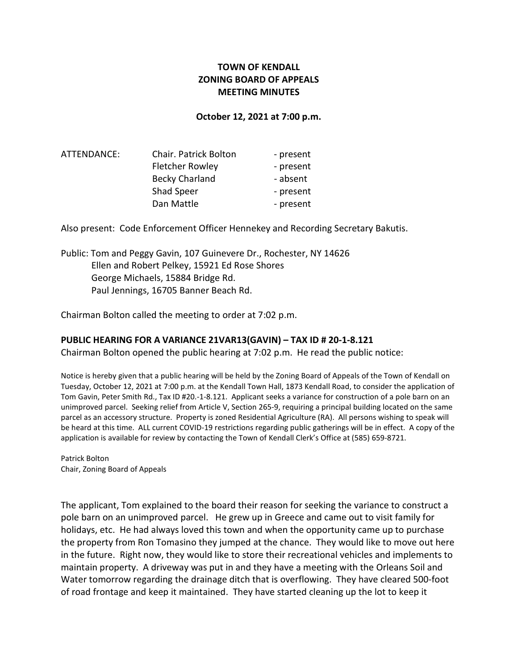# TOWN OF KENDALL ZONING BOARD OF APPEALS MEETING MINUTES

#### October 12, 2021 at 7:00 p.m.

| ATTENDANCE: | <b>Chair. Patrick Bolton</b> | - present |
|-------------|------------------------------|-----------|
|             | <b>Fletcher Rowley</b>       | - present |
|             | <b>Becky Charland</b>        | - absent  |
|             | Shad Speer                   | - present |
|             | Dan Mattle                   | - present |

Also present: Code Enforcement Officer Hennekey and Recording Secretary Bakutis.

Public: Tom and Peggy Gavin, 107 Guinevere Dr., Rochester, NY 14626 Ellen and Robert Pelkey, 15921 Ed Rose Shores George Michaels, 15884 Bridge Rd. Paul Jennings, 16705 Banner Beach Rd.

Chairman Bolton called the meeting to order at 7:02 p.m.

#### PUBLIC HEARING FOR A VARIANCE 21VAR13(GAVIN) – TAX ID # 20-1-8.121

Chairman Bolton opened the public hearing at 7:02 p.m. He read the public notice:

Notice is hereby given that a public hearing will be held by the Zoning Board of Appeals of the Town of Kendall on Tuesday, October 12, 2021 at 7:00 p.m. at the Kendall Town Hall, 1873 Kendall Road, to consider the application of Tom Gavin, Peter Smith Rd., Tax ID #20.-1-8.121. Applicant seeks a variance for construction of a pole barn on an unimproved parcel. Seeking relief from Article V, Section 265-9, requiring a principal building located on the same parcel as an accessory structure. Property is zoned Residential Agriculture (RA). All persons wishing to speak will be heard at this time. ALL current COVID-19 restrictions regarding public gatherings will be in effect. A copy of the application is available for review by contacting the Town of Kendall Clerk's Office at (585) 659-8721.

Patrick Bolton Chair, Zoning Board of Appeals

The applicant, Tom explained to the board their reason for seeking the variance to construct a pole barn on an unimproved parcel. He grew up in Greece and came out to visit family for holidays, etc. He had always loved this town and when the opportunity came up to purchase the property from Ron Tomasino they jumped at the chance. They would like to move out here in the future. Right now, they would like to store their recreational vehicles and implements to maintain property. A driveway was put in and they have a meeting with the Orleans Soil and Water tomorrow regarding the drainage ditch that is overflowing. They have cleared 500-foot of road frontage and keep it maintained. They have started cleaning up the lot to keep it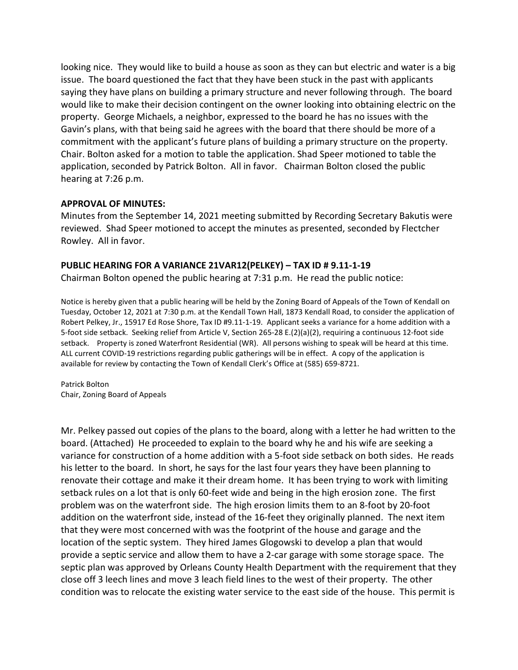looking nice. They would like to build a house as soon as they can but electric and water is a big issue. The board questioned the fact that they have been stuck in the past with applicants saying they have plans on building a primary structure and never following through. The board would like to make their decision contingent on the owner looking into obtaining electric on the property. George Michaels, a neighbor, expressed to the board he has no issues with the Gavin's plans, with that being said he agrees with the board that there should be more of a commitment with the applicant's future plans of building a primary structure on the property. Chair. Bolton asked for a motion to table the application. Shad Speer motioned to table the application, seconded by Patrick Bolton. All in favor. Chairman Bolton closed the public hearing at 7:26 p.m.

### APPROVAL OF MINUTES:

Minutes from the September 14, 2021 meeting submitted by Recording Secretary Bakutis were reviewed. Shad Speer motioned to accept the minutes as presented, seconded by Flectcher Rowley. All in favor.

### PUBLIC HEARING FOR A VARIANCE 21VAR12(PELKEY) – TAX ID # 9.11-1-19

Chairman Bolton opened the public hearing at 7:31 p.m. He read the public notice:

Notice is hereby given that a public hearing will be held by the Zoning Board of Appeals of the Town of Kendall on Tuesday, October 12, 2021 at 7:30 p.m. at the Kendall Town Hall, 1873 Kendall Road, to consider the application of Robert Pelkey, Jr., 15917 Ed Rose Shore, Tax ID #9.11-1-19. Applicant seeks a variance for a home addition with a 5-foot side setback. Seeking relief from Article V, Section 265-28 E.(2)(a)(2), requiring a continuous 12-foot side setback. Property is zoned Waterfront Residential (WR). All persons wishing to speak will be heard at this time. ALL current COVID-19 restrictions regarding public gatherings will be in effect. A copy of the application is available for review by contacting the Town of Kendall Clerk's Office at (585) 659-8721.

Patrick Bolton Chair, Zoning Board of Appeals

Mr. Pelkey passed out copies of the plans to the board, along with a letter he had written to the board. (Attached) He proceeded to explain to the board why he and his wife are seeking a variance for construction of a home addition with a 5-foot side setback on both sides. He reads his letter to the board. In short, he says for the last four years they have been planning to renovate their cottage and make it their dream home. It has been trying to work with limiting setback rules on a lot that is only 60-feet wide and being in the high erosion zone. The first problem was on the waterfront side. The high erosion limits them to an 8-foot by 20-foot addition on the waterfront side, instead of the 16-feet they originally planned. The next item that they were most concerned with was the footprint of the house and garage and the location of the septic system. They hired James Glogowski to develop a plan that would provide a septic service and allow them to have a 2-car garage with some storage space. The septic plan was approved by Orleans County Health Department with the requirement that they close off 3 leech lines and move 3 leach field lines to the west of their property. The other condition was to relocate the existing water service to the east side of the house. This permit is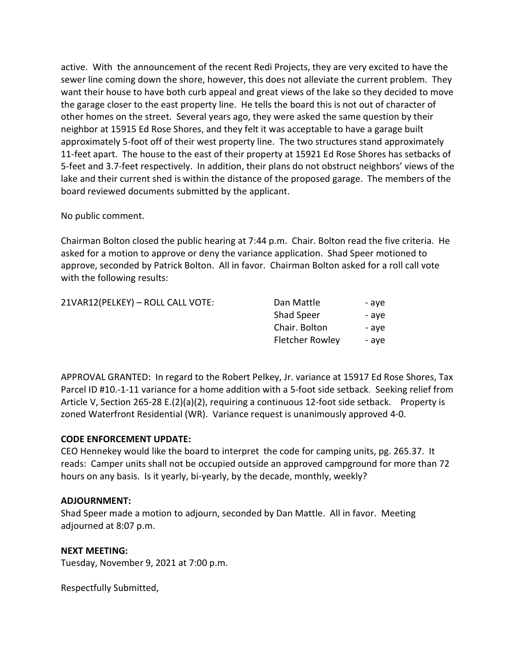active. With the announcement of the recent Redi Projects, they are very excited to have the sewer line coming down the shore, however, this does not alleviate the current problem. They want their house to have both curb appeal and great views of the lake so they decided to move the garage closer to the east property line. He tells the board this is not out of character of other homes on the street. Several years ago, they were asked the same question by their neighbor at 15915 Ed Rose Shores, and they felt it was acceptable to have a garage built approximately 5-foot off of their west property line. The two structures stand approximately 11-feet apart. The house to the east of their property at 15921 Ed Rose Shores has setbacks of 5-feet and 3.7-feet respectively. In addition, their plans do not obstruct neighbors' views of the lake and their current shed is within the distance of the proposed garage. The members of the board reviewed documents submitted by the applicant.

### No public comment.

Chairman Bolton closed the public hearing at 7:44 p.m. Chair. Bolton read the five criteria. He asked for a motion to approve or deny the variance application. Shad Speer motioned to approve, seconded by Patrick Bolton. All in favor. Chairman Bolton asked for a roll call vote with the following results:

| 21VAR12(PELKEY) - ROLL CALL VOTE: | Dan Mattle             | - ave |
|-----------------------------------|------------------------|-------|
|                                   | Shad Speer             | - ave |
|                                   | Chair. Bolton          | - ave |
|                                   | <b>Fletcher Rowley</b> | - ave |

APPROVAL GRANTED: In regard to the Robert Pelkey, Jr. variance at 15917 Ed Rose Shores, Tax Parcel ID #10.-1-11 variance for a home addition with a 5-foot side setback. Seeking relief from Article V, Section 265-28 E.(2)(a)(2), requiring a continuous 12-foot side setback. Property is zoned Waterfront Residential (WR). Variance request is unanimously approved 4-0.

# CODE ENFORCEMENT UPDATE:

CEO Hennekey would like the board to interpret the code for camping units, pg. 265.37. It reads: Camper units shall not be occupied outside an approved campground for more than 72 hours on any basis. Is it yearly, bi-yearly, by the decade, monthly, weekly?

# ADJOURNMENT:

Shad Speer made a motion to adjourn, seconded by Dan Mattle. All in favor. Meeting adjourned at 8:07 p.m.

# NEXT MEETING:

Tuesday, November 9, 2021 at 7:00 p.m.

Respectfully Submitted,